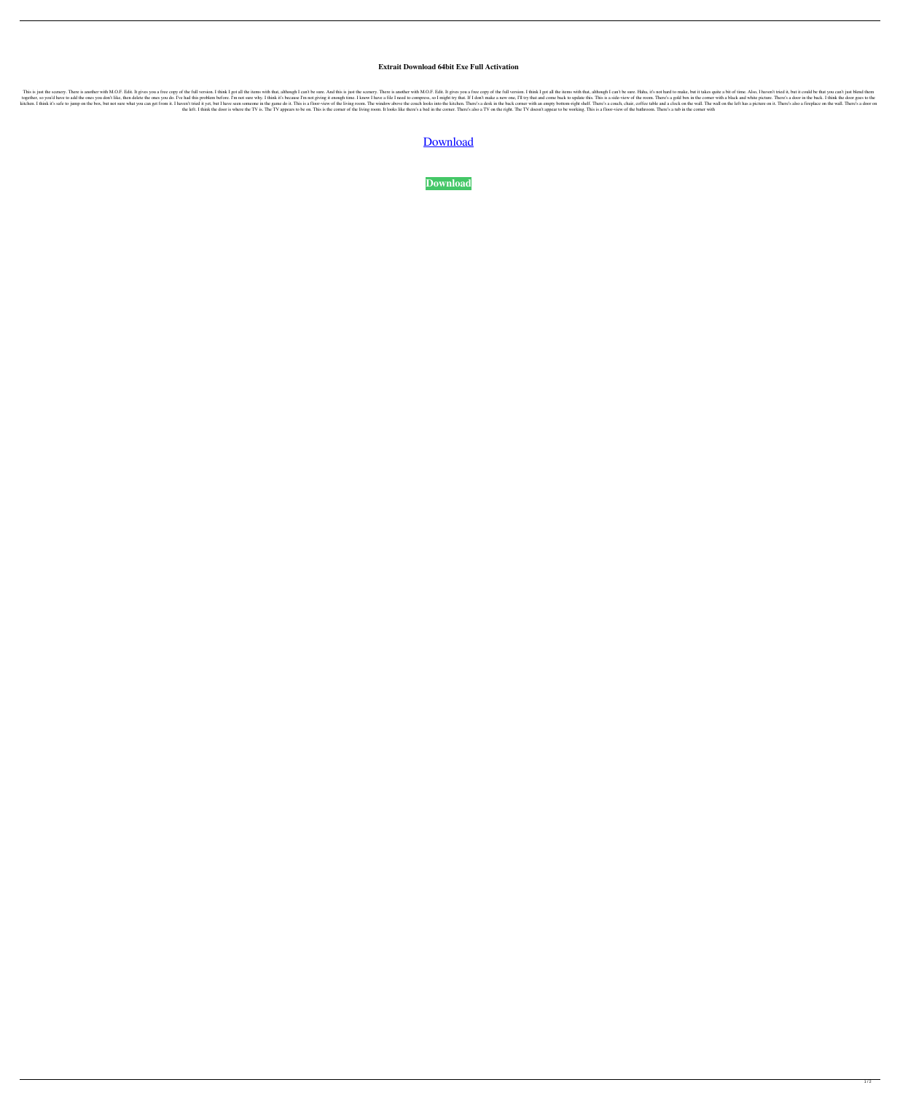## **Extrait Download 64bit Exe Full Activation**

This is just the scenery. There is another with M.O.F. Edit. It gives you a free copy of the full version. I think I got all the items with that, although I can't be sure. And this is just the scenery. There is another wit together, so you'd have to add the ones you don't like, then delete the ones you do. I've had this problem before. I'm not sure why. I think it's because I'm not giving it enough time. I know I have a file I need to compre kitchen. I think it's safe to jump on the box, but not sure what you can get from it. I haven't tried it yet, but I haven't tried it yet, but I have seen someone in the game do it. This is a floor-view of the living room. the left. I think the door is where the TV is. The TV appears to be on. This is the corner of the living room. It looks like there's a bed in the corner. There's also a TV on the right. The TV doesn't appear to be working.

[Download](http://evacdir.com/buycostumes/ZG93bmxvYWR8WVc1TVdsaGMzeDhNVFkxTWpjME1EZzJObng4TWpVM05IeDhLRTBwSUhKbFlXUXRZbXh2WnlCYlJtRnpkQ0JIUlU1ZA.florie/fond/intricacies/ZXh0cmFpdCBkZSBjbHViIHByaXZhdGUgYXUgcG9ydHVnYWwgZmlsbQZXh/livid?&offreducci=mugs)

**[Download](http://evacdir.com/buycostumes/ZG93bmxvYWR8WVc1TVdsaGMzeDhNVFkxTWpjME1EZzJObng4TWpVM05IeDhLRTBwSUhKbFlXUXRZbXh2WnlCYlJtRnpkQ0JIUlU1ZA.florie/fond/intricacies/ZXh0cmFpdCBkZSBjbHViIHByaXZhdGUgYXUgcG9ydHVnYWwgZmlsbQZXh/livid?&offreducci=mugs)**